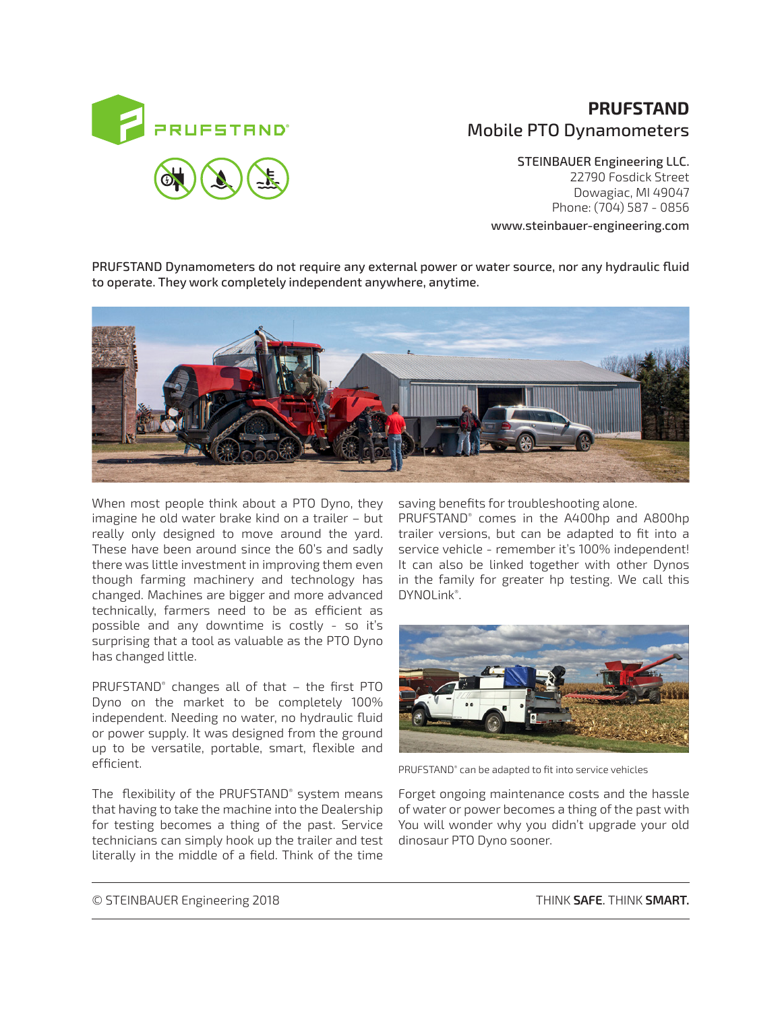

# **PRUFSTAND** Mobile PTO Dynamometers

STEINBAUER Engineering LLC. 22790 Fosdick Street Dowagiac, MI 49047 Phone: (704) 587 - 0856 www.steinbauer-engineering.com

PRUFSTAND Dynamometers do not require any external power or water source, nor any hydraulic fluid to operate. They work completely independent anywhere, anytime.



When most people think about a PTO Dyno, they imagine he old water brake kind on a trailer – but really only designed to move around the yard. These have been around since the 60's and sadly there was little investment in improving them even though farming machinery and technology has changed. Machines are bigger and more advanced technically, farmers need to be as efficient as possible and any downtime is costly - so it's surprising that a tool as valuable as the PTO Dyno has changed little.

PRUFSTAND® changes all of that – the first PTO Dyno on the market to be completely 100% independent. Needing no water, no hydraulic fluid or power supply. It was designed from the ground up to be versatile, portable, smart, flexible and efficient.

The flexibility of the PRUFSTAND® system means that having to take the machine into the Dealership for testing becomes a thing of the past. Service technicians can simply hook up the trailer and test literally in the middle of a field. Think of the time

saving benefits for troubleshooting alone.

PRUFSTAND® comes in the A400hp and A800hp trailer versions, but can be adapted to fit into a service vehicle - remember it's 100% independent! It can also be linked together with other Dynos in the family for greater hp testing. We call this DYNOLink® .



PRUFSTAND® can be adapted to fit into service vehicles

Forget ongoing maintenance costs and the hassle of water or power becomes a thing of the past with You will wonder why you didn't upgrade your old dinosaur PTO Dyno sooner.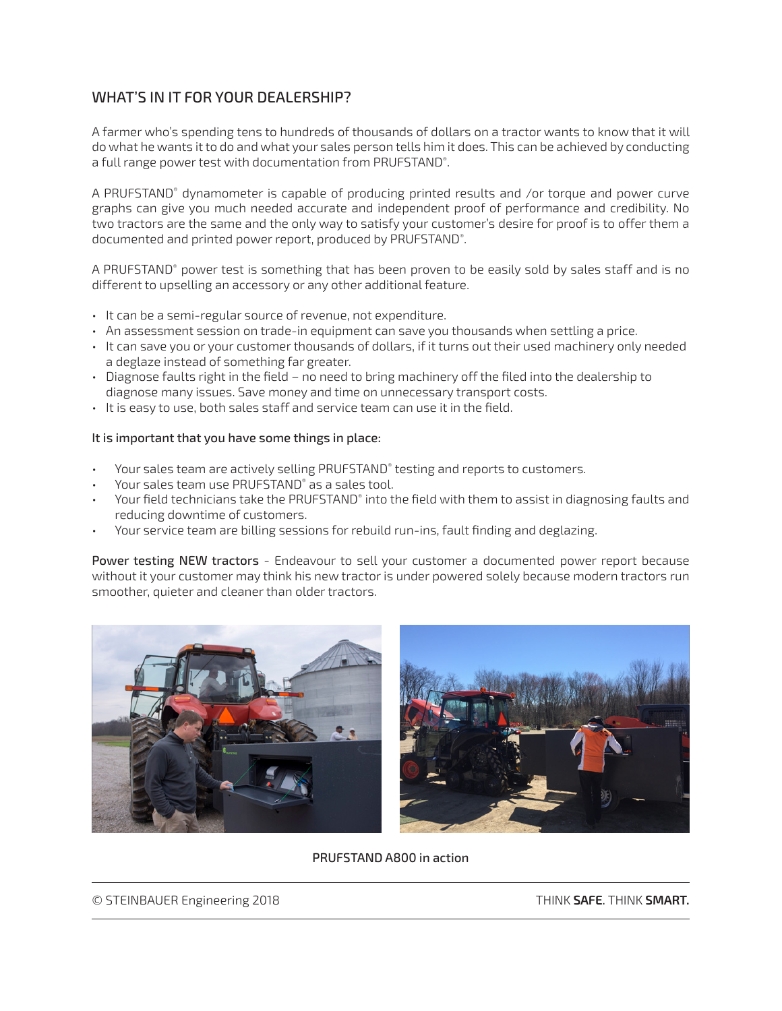# WHAT'S IN IT FOR YOUR DEALERSHIP?

A farmer who's spending tens to hundreds of thousands of dollars on a tractor wants to know that it will do what he wants it to do and what your sales person tells him it does. This can be achieved by conducting a full range power test with documentation from PRUFSTAND® .

A PRUFSTAND® dynamometer is capable of producing printed results and /or torque and power curve graphs can give you much needed accurate and independent proof of performance and credibility. No two tractors are the same and the only way to satisfy your customer's desire for proof is to offer them a documented and printed power report, produced by PRUFSTAND® .

A PRUFSTAND® power test is something that has been proven to be easily sold by sales staff and is no different to upselling an accessory or any other additional feature.

- It can be a semi-regular source of revenue, not expenditure.
- An assessment session on trade-in equipment can save you thousands when settling a price.
- It can save you or your customer thousands of dollars, if it turns out their used machinery only needed a deglaze instead of something far greater.
- Diagnose faults right in the field no need to bring machinery off the filed into the dealership to diagnose many issues. Save money and time on unnecessary transport costs.
- It is easy to use, both sales staff and service team can use it in the field.

#### It is important that you have some things in place:

- Your sales team are actively selling PRUFSTAND® testing and reports to customers.
- Your sales team use PRUFSTAND® as a sales tool.
- $\cdot$  Your field technicians take the PRUFSTAND® into the field with them to assist in diagnosing faults and reducing downtime of customers.
- Your service team are billing sessions for rebuild run-ins, fault finding and deglazing.

Power testing NEW tractors - Endeavour to sell your customer a documented power report because without it your customer may think his new tractor is under powered solely because modern tractors run smoother, quieter and cleaner than older tractors.



PRUFSTAND A800 in action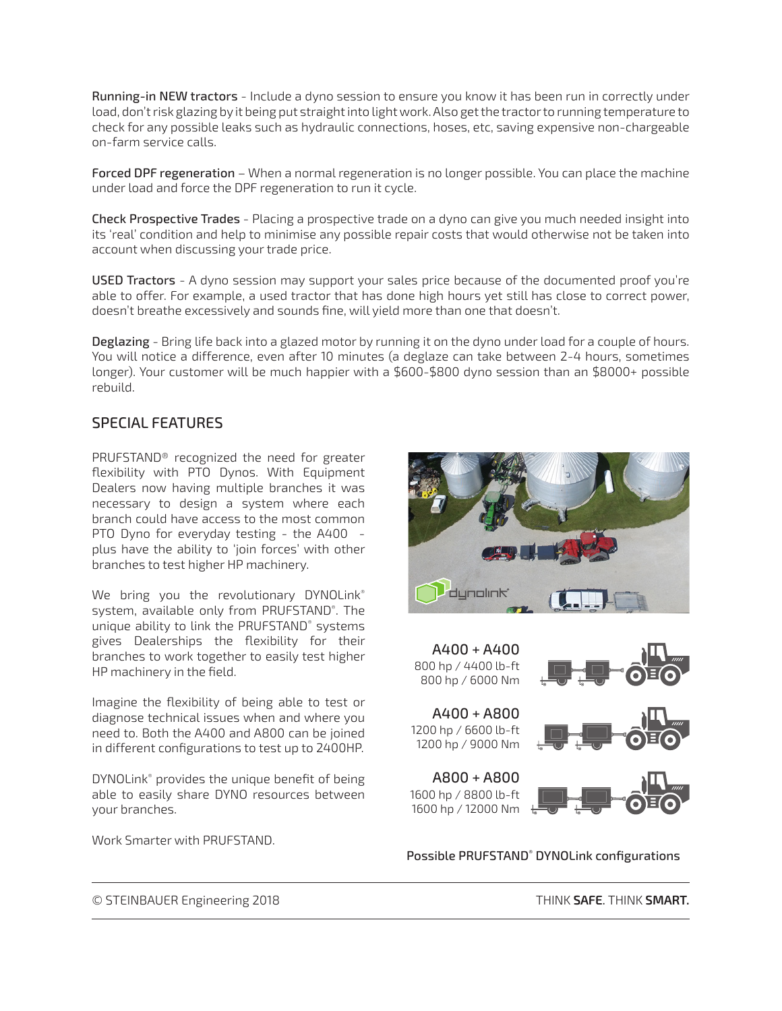Running-in NEW tractors - Include a dyno session to ensure you know it has been run in correctly under load, don't risk glazing by it being put straight into light work. Also get the tractor to running temperature to check for any possible leaks such as hydraulic connections, hoses, etc, saving expensive non-chargeable on-farm service calls.

Forced DPF regeneration – When a normal regeneration is no longer possible. You can place the machine under load and force the DPF regeneration to run it cycle.

Check Prospective Trades - Placing a prospective trade on a dyno can give you much needed insight into its 'real' condition and help to minimise any possible repair costs that would otherwise not be taken into account when discussing your trade price.

USED Tractors - A dyno session may support your sales price because of the documented proof you're able to offer. For example, a used tractor that has done high hours yet still has close to correct power, doesn't breathe excessively and sounds fine, will yield more than one that doesn't.

Deglazing - Bring life back into a glazed motor by running it on the dyno under load for a couple of hours. You will notice a difference, even after 10 minutes (a deglaze can take between 2-4 hours, sometimes longer). Your customer will be much happier with a \$600-\$800 dyno session than an \$8000+ possible rebuild.

# SPECIAL FEATURES

PRUFSTAND® recognized the need for greater flexibility with PTO Dynos. With Equipment Dealers now having multiple branches it was necessary to design a system where each branch could have access to the most common PTO Dyno for everyday testing - the A400 plus have the ability to 'join forces' with other branches to test higher HP machinery.

We bring you the revolutionary DYNOLink® system, available only from PRUFSTAND® . The unique ability to link the PRUFSTAND® systems gives Dealerships the flexibility for their branches to work together to easily test higher HP machinery in the field.

Imagine the flexibility of being able to test or diagnose technical issues when and where you need to. Both the A400 and A800 can be joined in different configurations to test up to 2400HP.

DYNOLink® provides the unique benefit of being able to easily share DYNO resources between your branches.

Work Smarter with PRUFSTAND.





Possible PRUFSTAND® DYNOLink configurations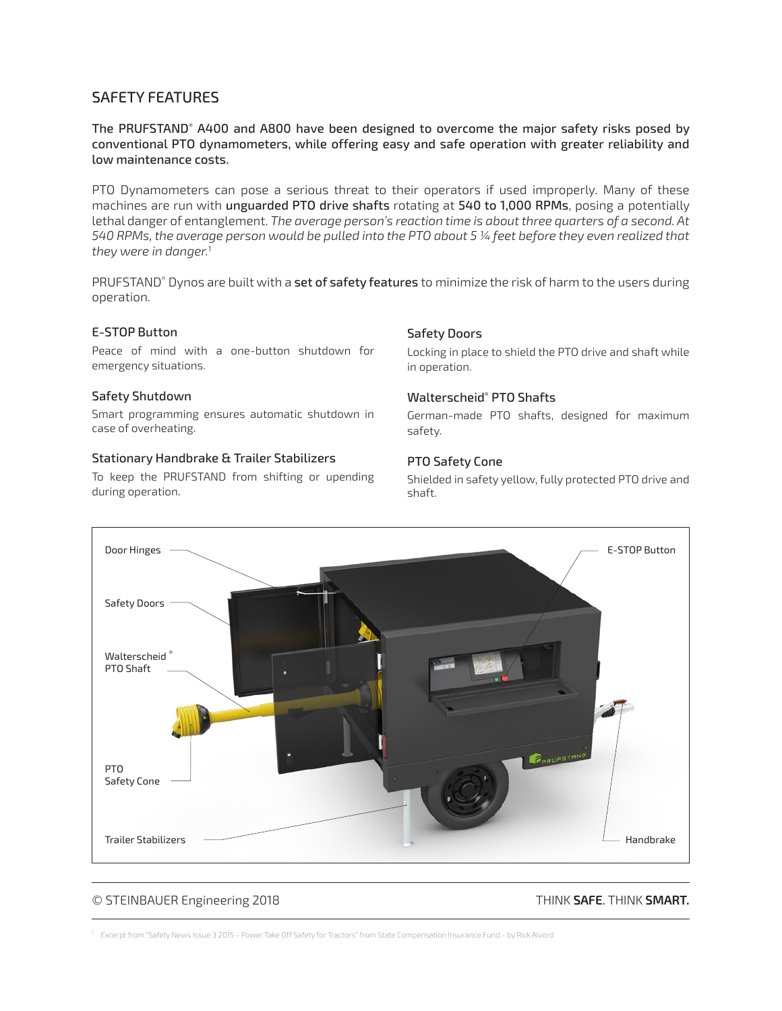## SAFETY FEATURES

The PRUFSTAND® A400 and A800 have been designed to overcome the major safety risks posed by conventional PTO dynamometers, while offering easy and safe operation with greater reliability and low maintenance costs.

PTO Dynamometers can pose a serious threat to their operators if used improperly. Many of these machines are run with unguarded PTO drive shafts rotating at 540 to 1,000 RPMs, posing a potentially lethal danger of entanglement. *The average person's reaction time is about three quarters of a second. At 540 RPMs, the average person would be pulled into the PTO about 5 ¼ feet before they even realized that they were in danger.*<sup>1</sup>

PRUFSTAND® Dynos are built with a **set of safety features** to minimize the risk of harm to the users during operation.

### E-STOP Button

Peace of mind with a one-button shutdown for emergency situations.

#### Safety Shutdown

Smart programming ensures automatic shutdown in case of overheating.

#### Stationary Handbrake & Trailer Stabilizers

To keep the PRUFSTAND from shifting or upending during operation.

#### Safety Doors

Locking in place to shield the PTO drive and shaft while in operation.

#### Walterscheid® PTO Shafts

German-made PTO shafts, designed for maximum safety.

#### PTO Safety Cone

Shielded in safety yellow, fully protected PTO drive and shaft.



#### © STEINBAUER Engineering 2018 THINK **SAFE**. THINK **SMART.**

1 Excerpt from "Safety News Issue 3 2015 - Power Take Off Safety for Tractors" from State Compensation Insurance Fund - by Rick Alvord